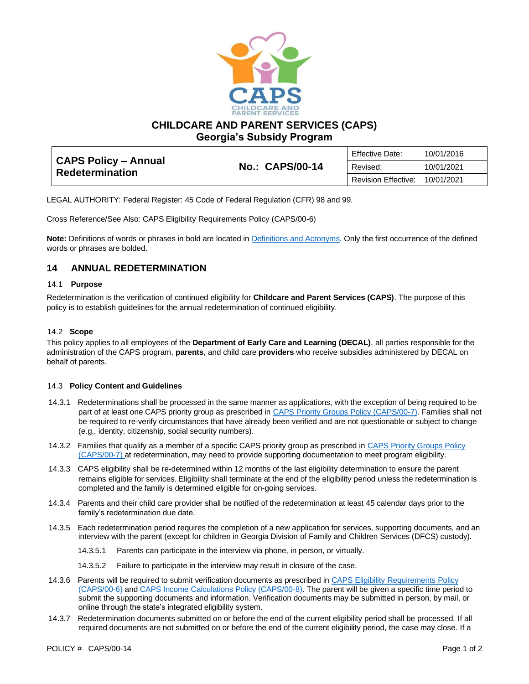

**CHILDCARE AND PARENT SERVICES (CAPS)**

**Georgia's Subsidy Program**

| <b>CAPS Policy – Annual</b><br><b>Redetermination</b> | <b>No.: CAPS/00-14</b> | <b>Effective Date:</b>     | 10/01/2016 |
|-------------------------------------------------------|------------------------|----------------------------|------------|
|                                                       |                        | Revised:                   | 10/01/2021 |
|                                                       |                        | <b>Revision Effective:</b> | 10/01/2021 |

LEGAL AUTHORITY: Federal Register: 45 Code of Federal Regulation (CFR) 98 and 99.

Cross Reference/See Also: CAPS Eligibility Requirements Policy (CAPS/00-6)

**Note:** Definitions of words or phrases in bold are located in [Definitions and Acronyms.](https://caps.decal.ga.gov/assets/downloads/CAPS/02-CAPS_Policy-Definitions%20and%20Acronyms.pdf) Only the first occurrence of the defined words or phrases are bolded.

# **14 ANNUAL REDETERMINATION**

### 14.1 **Purpose**

Redetermination is the verification of continued eligibility for **Childcare and Parent Services (CAPS)**. The purpose of this policy is to establish guidelines for the annual redetermination of continued eligibility.

## 14.2 **Scope**

This policy applies to all employees of the **Department of Early Care and Learning (DECAL)**, all parties responsible for the administration of the CAPS program, **parents**, and child care **providers** who receive subsidies administered by DECAL on behalf of parents.

### 14.3 **Policy Content and Guidelines**

- 14.3.1 Redeterminations shall be processed in the same manner as applications, with the exception of being required to be part of at least one CAPS priority group as prescribed in [CAPS Priority Groups Policy \(CAPS/00-7\).](https://caps.decal.ga.gov/assets/downloads/CAPS/07-CAPS_Policy-Priority%20Groups.pdf) Families shall not be required to re-verify circumstances that have already been verified and are not questionable or subject to change (e.g., identity, citizenship, social security numbers).
- 14.3.2 Families that qualify as a member of a specific CAPS priority group as prescribed in [CAPS Priority Groups Policy](https://caps.decal.ga.gov/assets/downloads/CAPS/07-CAPS_Policy-Priority%20Groups.pdf)  [\(CAPS/00-7\)](https://caps.decal.ga.gov/assets/downloads/CAPS/07-CAPS_Policy-Priority%20Groups.pdf) at redetermination, may need to provide supporting documentation to meet program eligibility.
- 14.3.3 CAPS eligibility shall be re-determined within 12 months of the last eligibility determination to ensure the parent remains eligible for services. Eligibility shall terminate at the end of the eligibility period unless the redetermination is completed and the family is determined eligible for on-going services.
- 14.3.4 Parents and their child care provider shall be notified of the redetermination at least 45 calendar days prior to the family's redetermination due date.
- 14.3.5 Each redetermination period requires the completion of a new application for services, supporting documents, and an interview with the parent (except for children in Georgia Division of Family and Children Services (DFCS) custody).
	- 14.3.5.1 Parents can participate in the interview via phone, in person, or virtually.
	- 14.3.5.2 Failure to participate in the interview may result in closure of the case.
- 14.3.6 Parents will be required to submit verification documents as prescribed in CAPS Eligibility Requirements Policy [\(CAPS/00-6\)](https://caps.decal.ga.gov/assets/downloads/CAPS/06-CAPS_Policy-Eligibility%20Requirements.pdf) an[d CAPS Income Calculations Policy \(CAPS/00-8\).](https://caps.decal.ga.gov/assets/downloads/CAPS/08-CAPS_Policy-Income%20Calculations.pdf) The parent will be given a specific time period to submit the supporting documents and information. Verification documents may be submitted in person, by mail, or online through the state's integrated eligibility system.
- 14.3.7 Redetermination documents submitted on or before the end of the current eligibility period shall be processed. If all required documents are not submitted on or before the end of the current eligibility period, the case may close. If a